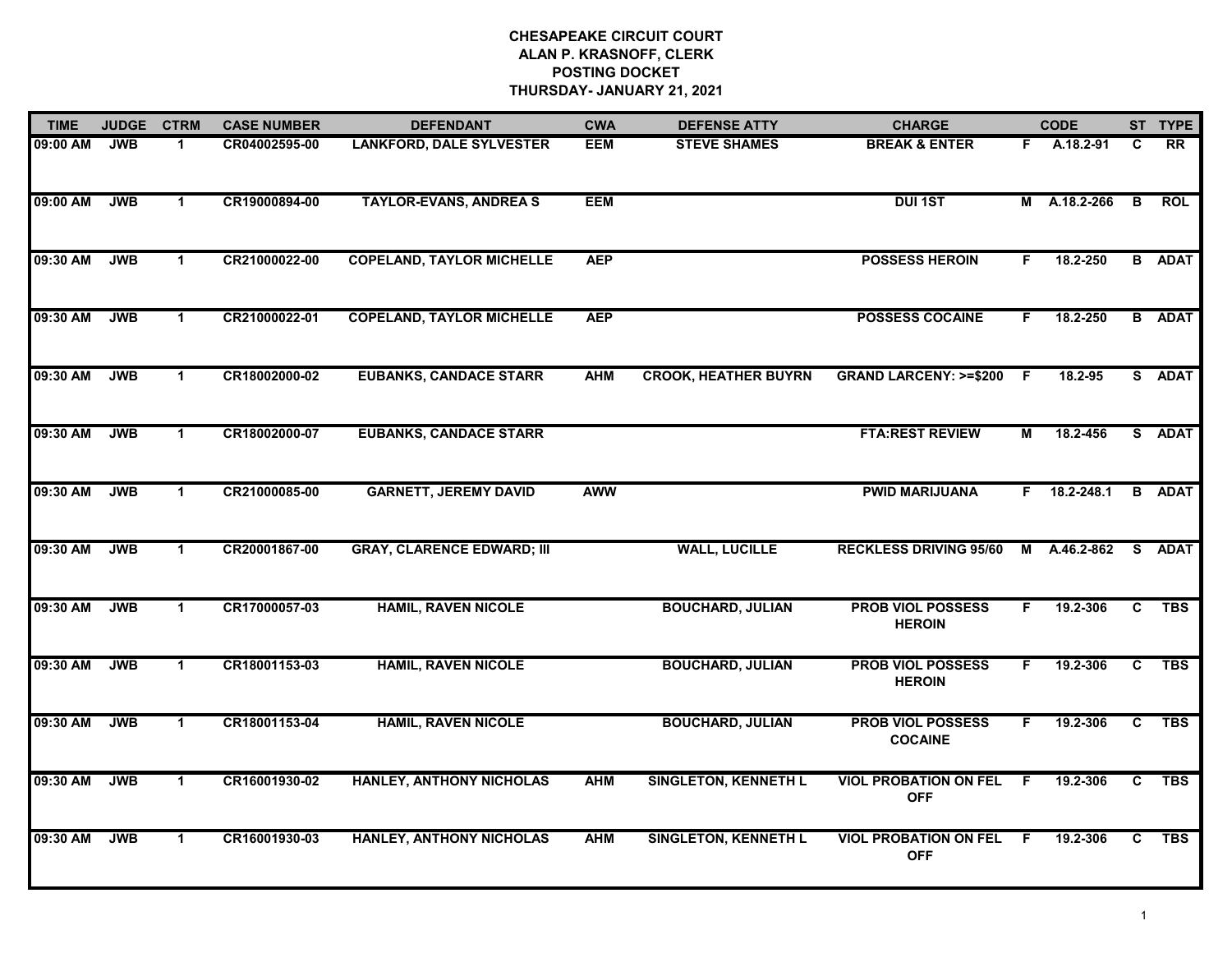| <b>TIME</b> | <b>JUDGE</b> | <b>CTRM</b>  | <b>CASE NUMBER</b> | <b>DEFENDANT</b>                  | <b>CWA</b> | <b>DEFENSE ATTY</b>         | <b>CHARGE</b>                              |     | <b>CODE</b>        |                | ST TYPE       |
|-------------|--------------|--------------|--------------------|-----------------------------------|------------|-----------------------------|--------------------------------------------|-----|--------------------|----------------|---------------|
| 09:00 AM    | <b>JWB</b>   | 1.           | CR04002595-00      | <b>LANKFORD, DALE SYLVESTER</b>   | <b>EEM</b> | <b>STEVE SHAMES</b>         | <b>BREAK &amp; ENTER</b>                   | F.  | A.18.2-91          | C              | <b>RR</b>     |
| 09:00 AM    | <b>JWB</b>   | $\mathbf{1}$ | CR19000894-00      | <b>TAYLOR-EVANS, ANDREAS</b>      | <b>EEM</b> |                             | <b>DUI1ST</b>                              |     | M A.18.2-266       | $\overline{B}$ | <b>ROL</b>    |
| 09:30 AM    | <b>JWB</b>   | $\mathbf{1}$ | CR21000022-00      | <b>COPELAND, TAYLOR MICHELLE</b>  | <b>AEP</b> |                             | <b>POSSESS HEROIN</b>                      | F   | 18.2-250           |                | <b>B</b> ADAT |
| 09:30 AM    | <b>JWB</b>   | $\mathbf 1$  | CR21000022-01      | <b>COPELAND, TAYLOR MICHELLE</b>  | <b>AEP</b> |                             | <b>POSSESS COCAINE</b>                     | F.  | 18.2-250           |                | <b>B</b> ADAT |
| 09:30 AM    | <b>JWB</b>   | $\mathbf{1}$ | CR18002000-02      | <b>EUBANKS, CANDACE STARR</b>     | <b>AHM</b> | <b>CROOK, HEATHER BUYRN</b> | <b>GRAND LARCENY: &gt;=\$200</b>           | -F. | 18.2-95            |                | S ADAT        |
| 09:30 AM    | <b>JWB</b>   | $\mathbf 1$  | CR18002000-07      | <b>EUBANKS, CANDACE STARR</b>     |            |                             | <b>FTA:REST REVIEW</b>                     | М   | 18.2-456           |                | S ADAT        |
| 09:30 AM    | <b>JWB</b>   | $\mathbf{1}$ | CR21000085-00      | <b>GARNETT, JEREMY DAVID</b>      | <b>AWW</b> |                             | <b>PWID MARIJUANA</b>                      |     | $F = 18.2 - 248.1$ |                | <b>B</b> ADAT |
| 09:30 AM    | <b>JWB</b>   | $\mathbf{1}$ | CR20001867-00      | <b>GRAY, CLARENCE EDWARD; III</b> |            | <b>WALL, LUCILLE</b>        | <b>RECKLESS DRIVING 95/60</b>              | M   | A.46.2-862         |                | S ADAT        |
| 09:30 AM    | <b>JWB</b>   | 1            | CR17000057-03      | <b>HAMIL, RAVEN NICOLE</b>        |            | <b>BOUCHARD, JULIAN</b>     | <b>PROB VIOL POSSESS</b><br><b>HEROIN</b>  | F   | 19.2-306           | C              | <b>TBS</b>    |
| 09:30 AM    | <b>JWB</b>   | $\mathbf 1$  | CR18001153-03      | <b>HAMIL, RAVEN NICOLE</b>        |            | <b>BOUCHARD, JULIAN</b>     | <b>PROB VIOL POSSESS</b><br><b>HEROIN</b>  | F.  | 19.2-306           | $\overline{c}$ | <b>TBS</b>    |
| 09:30 AM    | <b>JWB</b>   | $\mathbf{1}$ | CR18001153-04      | <b>HAMIL, RAVEN NICOLE</b>        |            | <b>BOUCHARD, JULIAN</b>     | <b>PROB VIOL POSSESS</b><br><b>COCAINE</b> | F.  | 19.2-306           | C.             | <b>TBS</b>    |
| 09:30 AM    | <b>JWB</b>   | $\mathbf{1}$ | CR16001930-02      | <b>HANLEY, ANTHONY NICHOLAS</b>   | <b>AHM</b> | <b>SINGLETON, KENNETH L</b> | <b>VIOL PROBATION ON FEL</b><br><b>OFF</b> | F.  | 19.2-306           | C              | <b>TBS</b>    |
| 09:30 AM    | <b>JWB</b>   | $\mathbf{1}$ | CR16001930-03      | <b>HANLEY, ANTHONY NICHOLAS</b>   | <b>AHM</b> | <b>SINGLETON, KENNETH L</b> | <b>VIOL PROBATION ON FEL</b><br><b>OFF</b> | -F  | 19.2-306           | C.             | <b>TBS</b>    |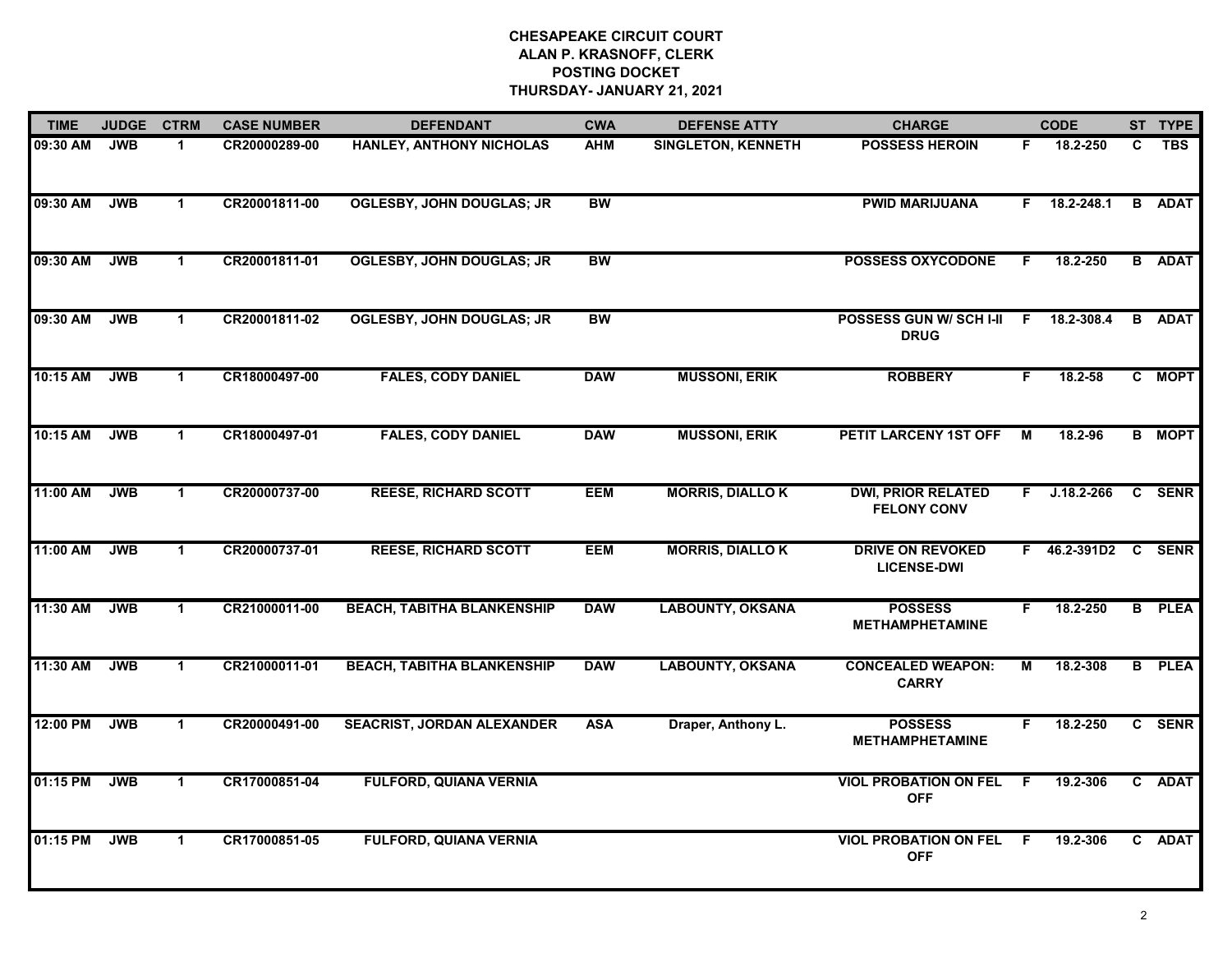| <b>TIME</b> | <b>JUDGE</b> | <b>CTRM</b>  | <b>CASE NUMBER</b> | <b>DEFENDANT</b>                  | <b>CWA</b> | <b>DEFENSE ATTY</b>       | <b>CHARGE</b>                                   |    | <b>CODE</b>         |    | ST TYPE       |
|-------------|--------------|--------------|--------------------|-----------------------------------|------------|---------------------------|-------------------------------------------------|----|---------------------|----|---------------|
| 09:30 AM    | <b>JWB</b>   | $\mathbf{1}$ | CR20000289-00      | <b>HANLEY, ANTHONY NICHOLAS</b>   | <b>AHM</b> | <b>SINGLETON, KENNETH</b> | <b>POSSESS HEROIN</b>                           | F. | 18.2-250            | C. | <b>TBS</b>    |
| 09:30 AM    | <b>JWB</b>   | $\mathbf 1$  | CR20001811-00      | <b>OGLESBY, JOHN DOUGLAS; JR</b>  | <b>BW</b>  |                           | <b>PWID MARIJUANA</b>                           | F. | 18.2-248.1          |    | <b>B</b> ADAT |
| 09:30 AM    | <b>JWB</b>   | $\mathbf 1$  | CR20001811-01      | <b>OGLESBY, JOHN DOUGLAS; JR</b>  | <b>BW</b>  |                           | <b>POSSESS OXYCODONE</b>                        | F. | 18.2-250            |    | <b>B</b> ADAT |
| 09:30 AM    | <b>JWB</b>   | $\mathbf 1$  | CR20001811-02      | <b>OGLESBY, JOHN DOUGLAS; JR</b>  | <b>BW</b>  |                           | POSSESS GUN W/ SCH I-II F<br><b>DRUG</b>        |    | 18.2-308.4          |    | <b>B</b> ADAT |
| 10:15 AM    | <b>JWB</b>   | $\mathbf 1$  | CR18000497-00      | <b>FALES, CODY DANIEL</b>         | <b>DAW</b> | <b>MUSSONI, ERIK</b>      | <b>ROBBERY</b>                                  | F. | 18.2-58             |    | C MOPT        |
| 10:15 AM    | <b>JWB</b>   | $\mathbf{1}$ | CR18000497-01      | <b>FALES, CODY DANIEL</b>         | <b>DAW</b> | <b>MUSSONI, ERIK</b>      | PETIT LARCENY 1ST OFF                           | M  | 18.2-96             |    | <b>B</b> MOPT |
| 11:00 AM    | <b>JWB</b>   | $\mathbf 1$  | CR20000737-00      | <b>REESE, RICHARD SCOTT</b>       | <b>EEM</b> | <b>MORRIS, DIALLOK</b>    | <b>DWI, PRIOR RELATED</b><br><b>FELONY CONV</b> |    | $F$ J.18.2-266      |    | C SENR        |
| 11:00 AM    | <b>JWB</b>   | $\mathbf 1$  | CR20000737-01      | <b>REESE, RICHARD SCOTT</b>       | <b>EEM</b> | <b>MORRIS, DIALLOK</b>    | <b>DRIVE ON REVOKED</b><br><b>LICENSE-DWI</b>   |    | F 46.2-391D2 C SENR |    |               |
| 11:30 AM    | <b>JWB</b>   | $\mathbf{1}$ | CR21000011-00      | <b>BEACH, TABITHA BLANKENSHIP</b> | <b>DAW</b> | <b>LABOUNTY, OKSANA</b>   | <b>POSSESS</b><br><b>METHAMPHETAMINE</b>        | F. | 18.2-250            |    | <b>B</b> PLEA |
| 11:30 AM    | <b>JWB</b>   | $\mathbf{1}$ | CR21000011-01      | <b>BEACH, TABITHA BLANKENSHIP</b> | <b>DAW</b> | <b>LABOUNTY, OKSANA</b>   | <b>CONCEALED WEAPON:</b><br><b>CARRY</b>        | М  | 18.2-308            |    | <b>B</b> PLEA |
| 12:00 PM    | <b>JWB</b>   | $\mathbf 1$  | CR20000491-00      | <b>SEACRIST, JORDAN ALEXANDER</b> | <b>ASA</b> | Draper, Anthony L.        | <b>POSSESS</b><br><b>METHAMPHETAMINE</b>        | F. | 18.2-250            |    | C SENR        |
| 01:15 PM    | <b>JWB</b>   | $\mathbf{1}$ | CR17000851-04      | <b>FULFORD, QUIANA VERNIA</b>     |            |                           | <b>VIOL PROBATION ON FEL</b><br><b>OFF</b>      | F. | 19.2-306            |    | C ADAT        |
| 01:15 PM    | <b>JWB</b>   | $\mathbf{1}$ | CR17000851-05      | <b>FULFORD, QUIANA VERNIA</b>     |            |                           | <b>VIOL PROBATION ON FEL</b><br><b>OFF</b>      | -F | 19.2-306            |    | C ADAT        |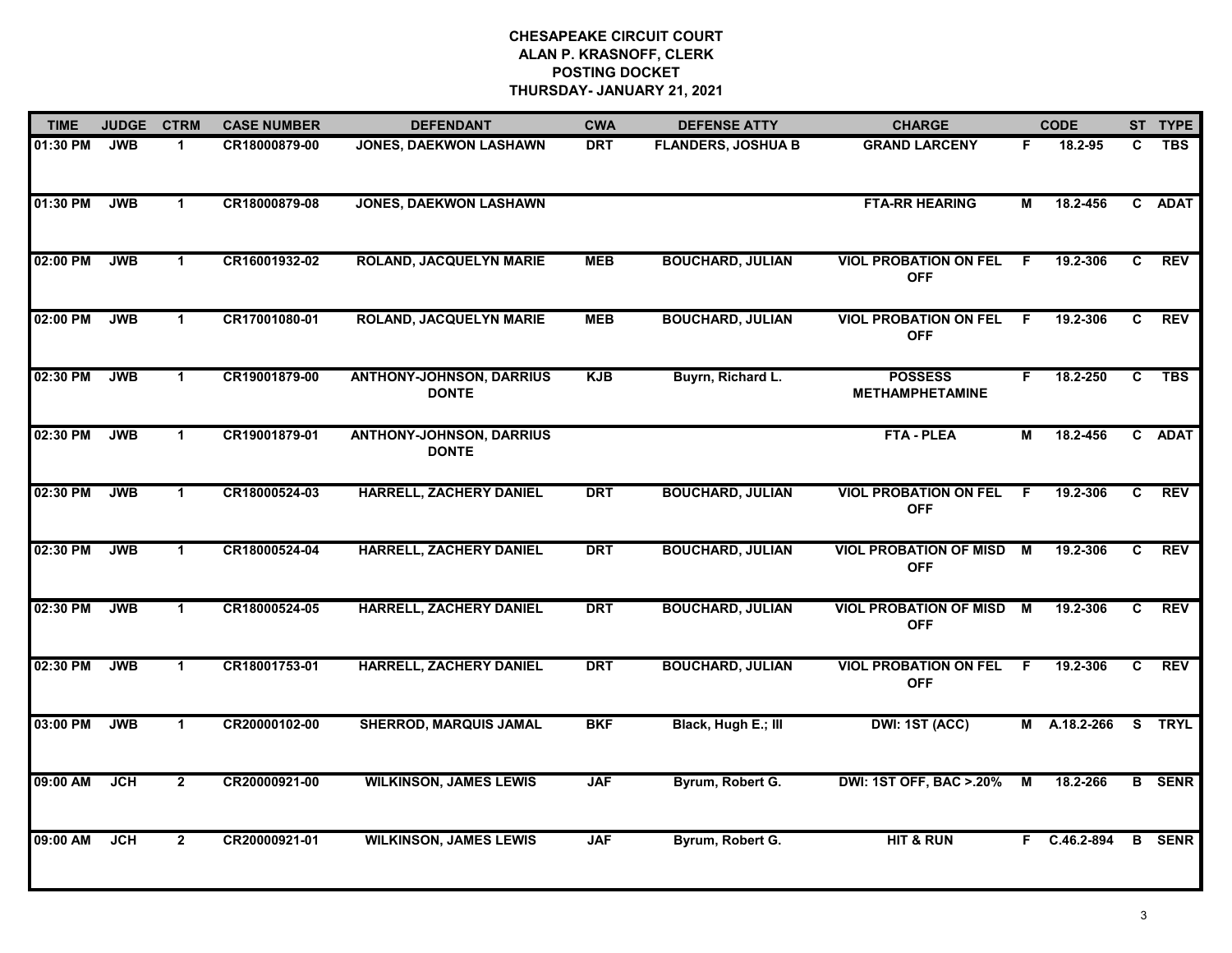| <b>TIME</b> | <b>JUDGE</b> | <b>CTRM</b>    | <b>CASE NUMBER</b> | <b>DEFENDANT</b>                                | <b>CWA</b> | <b>DEFENSE ATTY</b>       | <b>CHARGE</b>                               |                         | <b>CODE</b>  |                | ST TYPE       |
|-------------|--------------|----------------|--------------------|-------------------------------------------------|------------|---------------------------|---------------------------------------------|-------------------------|--------------|----------------|---------------|
| 01:30 PM    | <b>JWB</b>   | 1              | CR18000879-00      | <b>JONES, DAEKWON LASHAWN</b>                   | <b>DRT</b> | <b>FLANDERS, JOSHUA B</b> | <b>GRAND LARCENY</b>                        | F.                      | 18.2-95      | C.             | <b>TBS</b>    |
| 01:30 PM    | <b>JWB</b>   | $\mathbf{1}$   | CR18000879-08      | <b>JONES, DAEKWON LASHAWN</b>                   |            |                           | <b>FTA-RR HEARING</b>                       | М                       | 18.2-456     | $\overline{c}$ | <b>ADAT</b>   |
| 02:00 PM    | <b>JWB</b>   | $\mathbf{1}$   | CR16001932-02      | <b>ROLAND, JACQUELYN MARIE</b>                  | <b>MEB</b> | <b>BOUCHARD, JULIAN</b>   | <b>VIOL PROBATION ON FEL</b><br><b>OFF</b>  | F                       | 19.2-306     | C              | <b>REV</b>    |
| 02:00 PM    | <b>JWB</b>   | $\mathbf{1}$   | CR17001080-01      | <b>ROLAND, JACQUELYN MARIE</b>                  | <b>MEB</b> | <b>BOUCHARD, JULIAN</b>   | <b>VIOL PROBATION ON FEL</b><br><b>OFF</b>  | F.                      | 19.2-306     | C              | <b>REV</b>    |
| 02:30 PM    | <b>JWB</b>   | $\mathbf{1}$   | CR19001879-00      | <b>ANTHONY-JOHNSON, DARRIUS</b><br><b>DONTE</b> | <b>KJB</b> | Buyrn, Richard L.         | <b>POSSESS</b><br><b>METHAMPHETAMINE</b>    | F.                      | 18.2-250     | $\overline{c}$ | <b>TBS</b>    |
| 02:30 PM    | <b>JWB</b>   | $\mathbf{1}$   | CR19001879-01      | <b>ANTHONY-JOHNSON, DARRIUS</b><br><b>DONTE</b> |            |                           | <b>FTA - PLEA</b>                           | M                       | 18.2-456     |                | C ADAT        |
| 02:30 PM    | <b>JWB</b>   | $\mathbf{1}$   | CR18000524-03      | <b>HARRELL, ZACHERY DANIEL</b>                  | <b>DRT</b> | <b>BOUCHARD, JULIAN</b>   | <b>VIOL PROBATION ON FEL</b><br><b>OFF</b>  | - F                     | 19.2-306     | C              | <b>REV</b>    |
| 02:30 PM    | <b>JWB</b>   | $\mathbf{1}$   | CR18000524-04      | <b>HARRELL, ZACHERY DANIEL</b>                  | <b>DRT</b> | <b>BOUCHARD, JULIAN</b>   | <b>VIOL PROBATION OF MISD</b><br><b>OFF</b> | M                       | 19.2-306     | C              | <b>REV</b>    |
| 02:30 PM    | <b>JWB</b>   | 1              | CR18000524-05      | <b>HARRELL, ZACHERY DANIEL</b>                  | <b>DRT</b> | <b>BOUCHARD, JULIAN</b>   | <b>VIOL PROBATION OF MISD</b><br><b>OFF</b> | M                       | 19.2-306     | C.             | <b>REV</b>    |
| 02:30 PM    | <b>JWB</b>   | $\mathbf{1}$   | CR18001753-01      | <b>HARRELL, ZACHERY DANIEL</b>                  | <b>DRT</b> | <b>BOUCHARD, JULIAN</b>   | <b>VIOL PROBATION ON FEL</b><br><b>OFF</b>  | F                       | 19.2-306     | C              | REV           |
| 03:00 PM    | <b>JWB</b>   | $\mathbf 1$    | CR20000102-00      | <b>SHERROD, MARQUIS JAMAL</b>                   | <b>BKF</b> | Black, Hugh E.; III       | DWI: 1ST (ACC)                              |                         | M A.18.2-266 |                | S TRYL        |
| 09:00 AM    | <b>JCH</b>   | $\overline{2}$ | CR20000921-00      | <b>WILKINSON, JAMES LEWIS</b>                   | <b>JAF</b> | Byrum, Robert G.          | <b>DWI: 1ST OFF, BAC &gt;.20%</b>           | $\overline{\mathsf{M}}$ | 18.2-266     |                | <b>B</b> SENR |
| 09:00 AM    | <b>JCH</b>   | $\mathbf{2}$   | CR20000921-01      | <b>WILKINSON, JAMES LEWIS</b>                   | <b>JAF</b> | Byrum, Robert G.          | <b>HIT &amp; RUN</b>                        |                         | F C.46.2-894 |                | <b>B</b> SENR |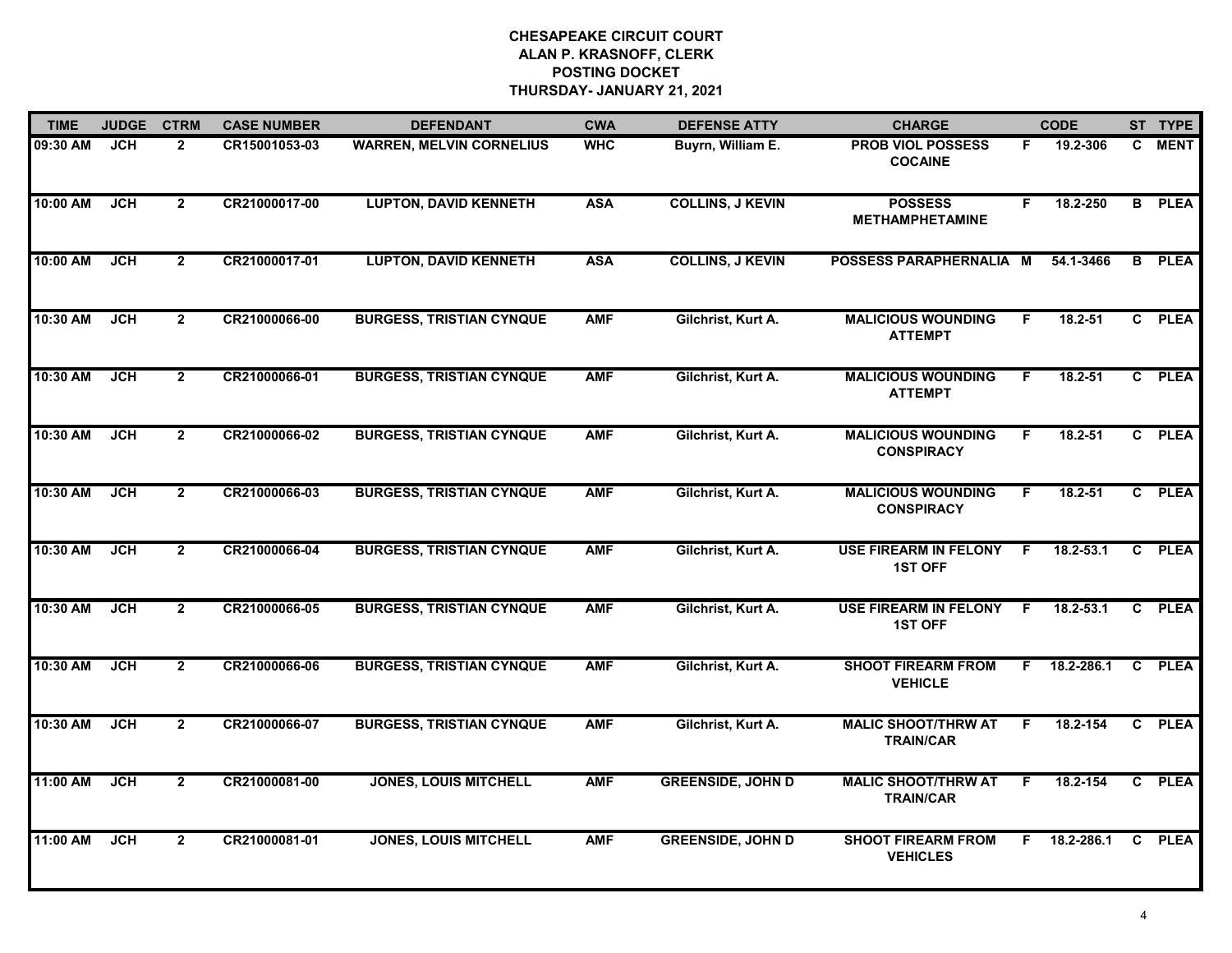| <b>TIME</b> | <b>JUDGE</b> | <b>CTRM</b>    | <b>CASE NUMBER</b> | <b>DEFENDANT</b>                | <b>CWA</b> | <b>DEFENSE ATTY</b>      | <b>CHARGE</b>                                  |    | <b>CODE</b>   |    | ST TYPE       |
|-------------|--------------|----------------|--------------------|---------------------------------|------------|--------------------------|------------------------------------------------|----|---------------|----|---------------|
| 09:30 AM    | <b>JCH</b>   | $\overline{2}$ | CR15001053-03      | <b>WARREN, MELVIN CORNELIUS</b> | <b>WHC</b> | Buyrn, William E.        | <b>PROB VIOL POSSESS</b><br><b>COCAINE</b>     | F. | 19.2-306      |    | C MENT        |
| 10:00 AM    | <b>JCH</b>   | $\overline{2}$ | CR21000017-00      | <b>LUPTON, DAVID KENNETH</b>    | <b>ASA</b> | <b>COLLINS, J KEVIN</b>  | <b>POSSESS</b><br><b>METHAMPHETAMINE</b>       | F  | 18.2-250      |    | <b>B</b> PLEA |
| 10:00 AM    | <b>JCH</b>   | $\overline{2}$ | CR21000017-01      | <b>LUPTON, DAVID KENNETH</b>    | <b>ASA</b> | <b>COLLINS, J KEVIN</b>  | POSSESS PARAPHERNALIA M                        |    | 54.1-3466     |    | <b>B</b> PLEA |
| 10:30 AM    | <b>JCH</b>   | $\overline{2}$ | CR21000066-00      | <b>BURGESS, TRISTIAN CYNQUE</b> | <b>AMF</b> | Gilchrist, Kurt A.       | <b>MALICIOUS WOUNDING</b><br><b>ATTEMPT</b>    | F. | $18.2 - 51$   |    | C PLEA        |
| 10:30 AM    | <b>JCH</b>   | $\overline{2}$ | CR21000066-01      | <b>BURGESS, TRISTIAN CYNQUE</b> | <b>AMF</b> | Gilchrist, Kurt A.       | <b>MALICIOUS WOUNDING</b><br><b>ATTEMPT</b>    | F. | 18.2-51       |    | C PLEA        |
| 10:30 AM    | <b>JCH</b>   | $\overline{2}$ | CR21000066-02      | <b>BURGESS, TRISTIAN CYNQUE</b> | <b>AMF</b> | Gilchrist, Kurt A.       | <b>MALICIOUS WOUNDING</b><br><b>CONSPIRACY</b> | F. | $18.2 - 51$   |    | C PLEA        |
| 10:30 AM    | <b>JCH</b>   | $\overline{2}$ | CR21000066-03      | <b>BURGESS, TRISTIAN CYNQUE</b> | <b>AMF</b> | Gilchrist, Kurt A.       | <b>MALICIOUS WOUNDING</b><br><b>CONSPIRACY</b> | F. | $18.2 - 51$   |    | C PLEA        |
| 10:30 AM    | <b>JCH</b>   | $\overline{2}$ | CR21000066-04      | <b>BURGESS, TRISTIAN CYNQUE</b> | <b>AMF</b> | Gilchrist, Kurt A.       | <b>USE FIREARM IN FELONY</b><br><b>1ST OFF</b> | F  | $18.2 - 53.1$ |    | C PLEA        |
| 10:30 AM    | JCH          | $\overline{2}$ | CR21000066-05      | <b>BURGESS, TRISTIAN CYNQUE</b> | <b>AMF</b> | Gilchrist, Kurt A.       | <b>USE FIREARM IN FELONY</b><br><b>1ST OFF</b> | F. | 18.2-53.1     |    | C PLEA        |
| 10:30 AM    | <b>JCH</b>   | $\overline{2}$ | CR21000066-06      | <b>BURGESS, TRISTIAN CYNQUE</b> | <b>AMF</b> | Gilchrist, Kurt A.       | <b>SHOOT FIREARM FROM</b><br><b>VEHICLE</b>    | F. | 18.2-286.1    | C  | <b>PLEA</b>   |
| 10:30 AM    | JCH          | $\overline{2}$ | CR21000066-07      | <b>BURGESS, TRISTIAN CYNQUE</b> | <b>AMF</b> | Gilchrist, Kurt A.       | <b>MALIC SHOOT/THRW AT</b><br><b>TRAIN/CAR</b> | F. | 18.2-154      |    | C PLEA        |
| 11:00 AM    | <b>JCH</b>   | $\overline{2}$ | CR21000081-00      | <b>JONES, LOUIS MITCHELL</b>    | <b>AMF</b> | <b>GREENSIDE, JOHN D</b> | <b>MALIC SHOOT/THRW AT</b><br><b>TRAIN/CAR</b> | F. | 18.2-154      |    | C PLEA        |
| 11:00 AM    | <b>JCH</b>   | $\overline{2}$ | CR21000081-01      | <b>JONES, LOUIS MITCHELL</b>    | <b>AMF</b> | <b>GREENSIDE, JOHN D</b> | <b>SHOOT FIREARM FROM</b><br><b>VEHICLES</b>   | F. | 18.2-286.1    | C. | <b>PLEA</b>   |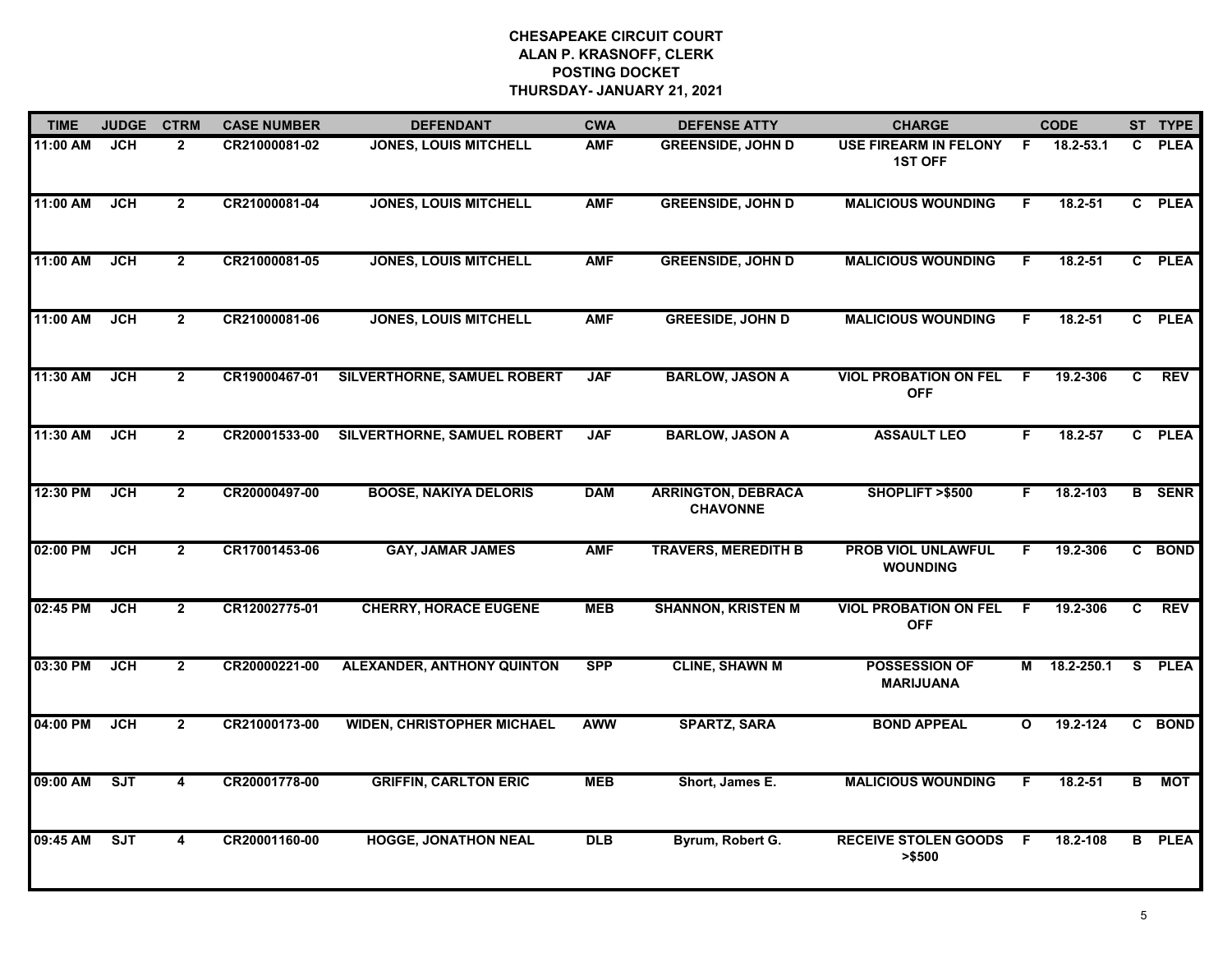| <b>TIME</b> | <b>JUDGE</b> | <b>CTRM</b>    | <b>CASE NUMBER</b> | <b>DEFENDANT</b>                  | <b>CWA</b> | <b>DEFENSE ATTY</b>                          | <b>CHARGE</b>                                  |              | <b>CODE</b> |    | ST TYPE       |
|-------------|--------------|----------------|--------------------|-----------------------------------|------------|----------------------------------------------|------------------------------------------------|--------------|-------------|----|---------------|
| 11:00 AM    | JCH          | $\overline{2}$ | CR21000081-02      | <b>JONES, LOUIS MITCHELL</b>      | <b>AMF</b> | <b>GREENSIDE, JOHN D</b>                     | <b>USE FIREARM IN FELONY</b><br><b>1ST OFF</b> | F.           | 18.2-53.1   |    | C PLEA        |
| 11:00 AM    | <b>JCH</b>   | $\overline{2}$ | CR21000081-04      | <b>JONES, LOUIS MITCHELL</b>      | <b>AMF</b> | <b>GREENSIDE, JOHN D</b>                     | <b>MALICIOUS WOUNDING</b>                      | F.           | 18.2-51     |    | C PLEA        |
| 11:00 AM    | <b>JCH</b>   | $\overline{2}$ | CR21000081-05      | <b>JONES, LOUIS MITCHELL</b>      | <b>AMF</b> | <b>GREENSIDE, JOHN D</b>                     | <b>MALICIOUS WOUNDING</b>                      | F.           | 18.2-51     |    | C PLEA        |
| 11:00 AM    | <b>JCH</b>   | $\overline{2}$ | CR21000081-06      | <b>JONES, LOUIS MITCHELL</b>      | <b>AMF</b> | <b>GREESIDE, JOHN D</b>                      | <b>MALICIOUS WOUNDING</b>                      | F            | 18.2-51     |    | C PLEA        |
| 11:30 AM    | <b>JCH</b>   | $\overline{2}$ | CR19000467-01      | SILVERTHORNE, SAMUEL ROBERT       | <b>JAF</b> | <b>BARLOW, JASON A</b>                       | <b>VIOL PROBATION ON FEL</b><br><b>OFF</b>     | F            | 19.2-306    | C. | <b>REV</b>    |
| 11:30 AM    | <b>JCH</b>   | $\overline{2}$ | CR20001533-00      | SILVERTHORNE, SAMUEL ROBERT       | <b>JAF</b> | <b>BARLOW, JASON A</b>                       | <b>ASSAULT LEO</b>                             | F.           | 18.2-57     |    | C PLEA        |
| 12:30 PM    | <b>JCH</b>   | $\overline{2}$ | CR20000497-00      | <b>BOOSE, NAKIYA DELORIS</b>      | <b>DAM</b> | <b>ARRINGTON, DEBRACA</b><br><b>CHAVONNE</b> | SHOPLIFT >\$500                                | F.           | 18.2-103    |    | <b>B</b> SENR |
| 02:00 PM    | <b>JCH</b>   | $\overline{2}$ | CR17001453-06      | <b>GAY, JAMAR JAMES</b>           | <b>AMF</b> | <b>TRAVERS, MEREDITH B</b>                   | <b>PROB VIOL UNLAWFUL</b><br><b>WOUNDING</b>   | F.           | 19.2-306    |    | C BOND        |
| 02:45 PM    | JCH          | $\overline{2}$ | CR12002775-01      | <b>CHERRY, HORACE EUGENE</b>      | <b>MEB</b> | <b>SHANNON, KRISTEN M</b>                    | <b>VIOL PROBATION ON FEL</b><br><b>OFF</b>     | E            | 19.2-306    | C. | <b>REV</b>    |
| 03:30 PM    | <b>JCH</b>   | $\overline{2}$ | CR20000221-00      | <b>ALEXANDER, ANTHONY QUINTON</b> | <b>SPP</b> | <b>CLINE, SHAWN M</b>                        | <b>POSSESSION OF</b><br><b>MARIJUANA</b>       | М            | 18.2-250.1  |    | S PLEA        |
| 04:00 PM    | <b>JCH</b>   | $\mathbf{2}$   | CR21000173-00      | <b>WIDEN, CHRISTOPHER MICHAEL</b> | <b>AWW</b> | <b>SPARTZ, SARA</b>                          | <b>BOND APPEAL</b>                             | $\mathbf{o}$ | 19.2-124    |    | C BOND        |
| 09:00 AM    | ST           | 4              | CR20001778-00      | <b>GRIFFIN, CARLTON ERIC</b>      | <b>MEB</b> | Short, James E.                              | <b>MALICIOUS WOUNDING</b>                      | F.           | 18.2-51     | B  | <b>MOT</b>    |
| 09:45 AM    | ST           | 4              | CR20001160-00      | <b>HOGGE, JONATHON NEAL</b>       | <b>DLB</b> | Byrum, Robert G.                             | <b>RECEIVE STOLEN GOODS</b><br>> \$500         | E            | 18.2-108    |    | <b>B</b> PLEA |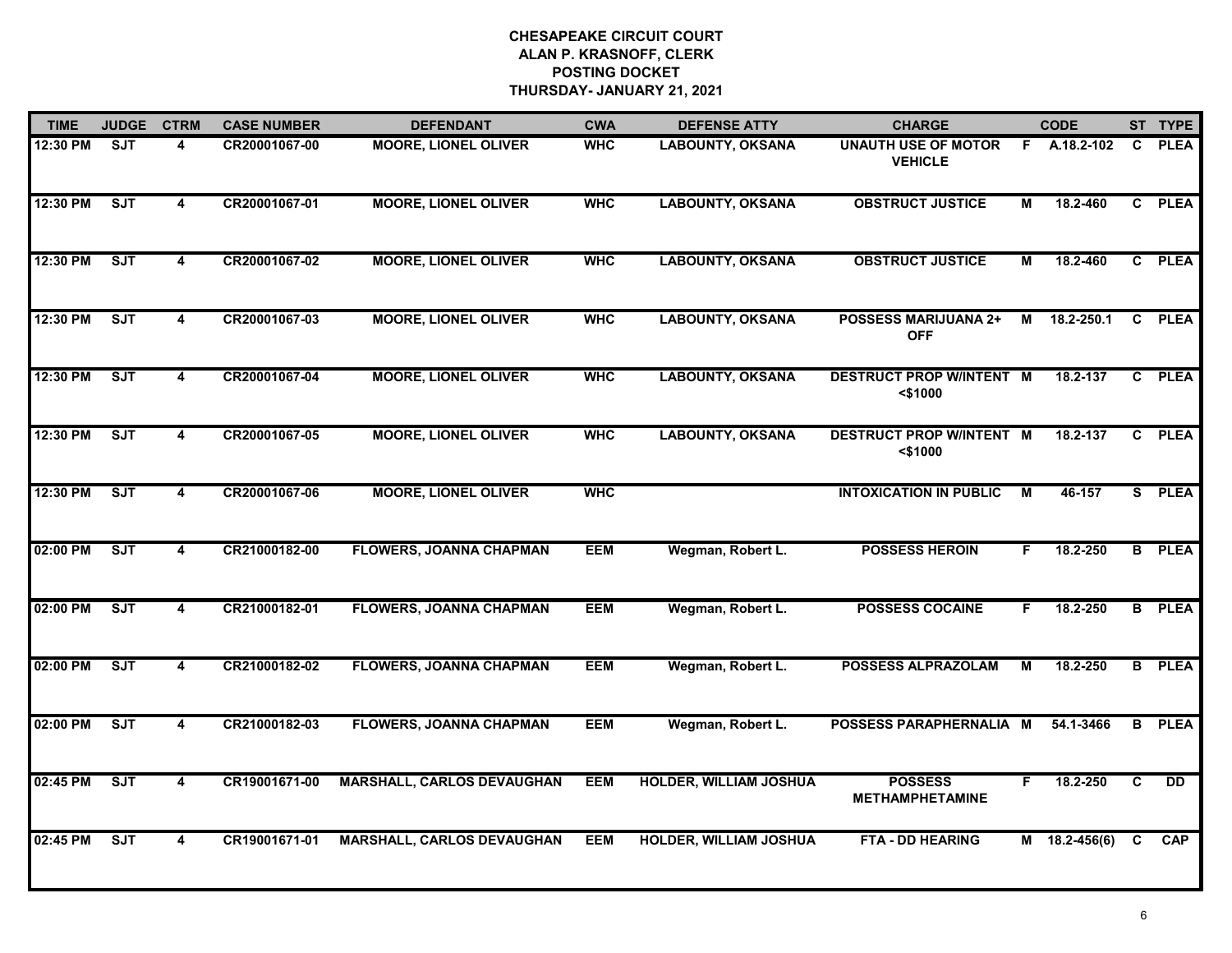| <b>TIME</b> | <b>JUDGE</b> | <b>CTRM</b>             | <b>CASE NUMBER</b> | <b>DEFENDANT</b>                  | <b>CWA</b> | <b>DEFENSE ATTY</b>           | <b>CHARGE</b>                                 |    | <b>CODE</b>     |              | ST TYPE       |
|-------------|--------------|-------------------------|--------------------|-----------------------------------|------------|-------------------------------|-----------------------------------------------|----|-----------------|--------------|---------------|
| 12:30 PM    | ST           | 4                       | CR20001067-00      | <b>MOORE, LIONEL OLIVER</b>       | <b>WHC</b> | <b>LABOUNTY, OKSANA</b>       | <b>UNAUTH USE OF MOTOR</b><br><b>VEHICLE</b>  |    | F A.18.2-102    | $\mathbf{c}$ | <b>PLEA</b>   |
| 12:30 PM    | ST           | $\overline{\mathbf{4}}$ | CR20001067-01      | <b>MOORE, LIONEL OLIVER</b>       | <b>WHC</b> | <b>LABOUNTY, OKSANA</b>       | <b>OBSTRUCT JUSTICE</b>                       | м  | 18.2-460        |              | C PLEA        |
| 12:30 PM    | ST           | 4                       | CR20001067-02      | <b>MOORE, LIONEL OLIVER</b>       | <b>WHC</b> | <b>LABOUNTY, OKSANA</b>       | <b>OBSTRUCT JUSTICE</b>                       | М  | 18.2-460        |              | C PLEA        |
| 12:30 PM    | SJT          | 4                       | CR20001067-03      | <b>MOORE, LIONEL OLIVER</b>       | <b>WHC</b> | <b>LABOUNTY, OKSANA</b>       | <b>POSSESS MARIJUANA 2+</b><br><b>OFF</b>     | М  | 18.2-250.1      | C            | <b>PLEA</b>   |
| 12:30 PM    | ST           | 4                       | CR20001067-04      | <b>MOORE, LIONEL OLIVER</b>       | <b>WHC</b> | <b>LABOUNTY, OKSANA</b>       | <b>DESTRUCT PROP W/INTENT M</b><br>$<$ \$1000 |    | 18.2-137        | C            | <b>PLEA</b>   |
| 12:30 PM    | ST           | 4                       | CR20001067-05      | <b>MOORE, LIONEL OLIVER</b>       | <b>WHC</b> | <b>LABOUNTY, OKSANA</b>       | <b>DESTRUCT PROP W/INTENT M</b><br>$<$ \$1000 |    | 18.2-137        |              | C PLEA        |
| 12:30 PM    | ST           | 4                       | CR20001067-06      | <b>MOORE, LIONEL OLIVER</b>       | <b>WHC</b> |                               | <b>INTOXICATION IN PUBLIC</b>                 | М  | 46-157          |              | S PLEA        |
| 02:00 PM    | SJT          | $\overline{4}$          | CR21000182-00      | <b>FLOWERS, JOANNA CHAPMAN</b>    | <b>EEM</b> | Wegman, Robert L.             | <b>POSSESS HEROIN</b>                         | F  | 18.2-250        |              | <b>B</b> PLEA |
| 02:00 PM    | <b>SJT</b>   | 4                       | CR21000182-01      | <b>FLOWERS, JOANNA CHAPMAN</b>    | <b>EEM</b> | Wegman, Robert L.             | <b>POSSESS COCAINE</b>                        | F  | 18.2-250        |              | <b>B</b> PLEA |
| 02:00 PM    | <b>SJT</b>   | 4                       | CR21000182-02      | <b>FLOWERS, JOANNA CHAPMAN</b>    | <b>EEM</b> | Wegman, Robert L.             | <b>POSSESS ALPRAZOLAM</b>                     | м  | 18.2-250        |              | <b>B</b> PLEA |
| 02:00 PM    | ST           | 4                       | CR21000182-03      | <b>FLOWERS, JOANNA CHAPMAN</b>    | <b>EEM</b> | Wegman, Robert L.             | POSSESS PARAPHERNALIA M                       |    | 54.1-3466       | В            | <b>PLEA</b>   |
| 02:45 PM    | ST           | 4                       | CR19001671-00      | <b>MARSHALL, CARLOS DEVAUGHAN</b> | <b>EEM</b> | <b>HOLDER, WILLIAM JOSHUA</b> | <b>POSSESS</b><br><b>METHAMPHETAMINE</b>      | F. | 18.2-250        | C            | DD            |
| 02:45 PM    | SJT          | 4                       | CR19001671-01      | <b>MARSHALL, CARLOS DEVAUGHAN</b> | <b>EEM</b> | HOLDER, WILLIAM JOSHUA        | <b>FTA - DD HEARING</b>                       |    | $M$ 18.2-456(6) | C            | <b>CAP</b>    |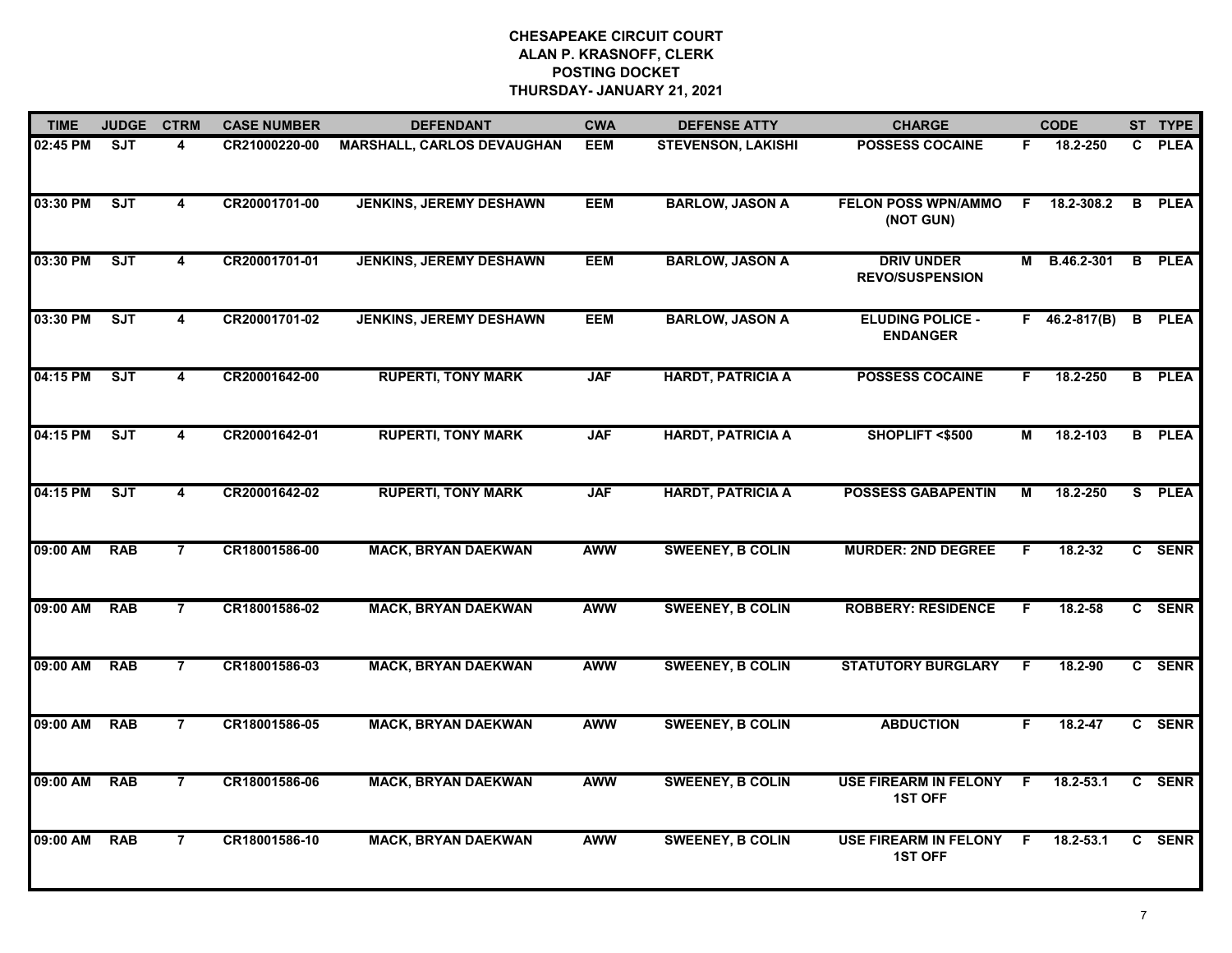| <b>TIME</b> | <b>JUDGE</b> | <b>CTRM</b>             | <b>CASE NUMBER</b> | <b>DEFENDANT</b>                  | <b>CWA</b> | <b>DEFENSE ATTY</b>       | <b>CHARGE</b>                                  |    | <b>CODE</b>         |    | ST TYPE       |
|-------------|--------------|-------------------------|--------------------|-----------------------------------|------------|---------------------------|------------------------------------------------|----|---------------------|----|---------------|
| 02:45 PM    | ST           | 4                       | CR21000220-00      | <b>MARSHALL, CARLOS DEVAUGHAN</b> | <b>EEM</b> | <b>STEVENSON, LAKISHI</b> | <b>POSSESS COCAINE</b>                         | F. | 18.2-250            |    | C PLEA        |
| 03:30 PM    | ST           | $\overline{\mathbf{4}}$ | CR20001701-00      | <b>JENKINS, JEREMY DESHAWN</b>    | <b>EEM</b> | <b>BARLOW, JASON A</b>    | <b>FELON POSS WPN/AMMO</b><br>(NOT GUN)        | F. | 18.2-308.2          | B  | <b>PLEA</b>   |
| 03:30 PM    | ST           | 4                       | CR20001701-01      | <b>JENKINS, JEREMY DESHAWN</b>    | <b>EEM</b> | <b>BARLOW, JASON A</b>    | <b>DRIV UNDER</b><br><b>REVO/SUSPENSION</b>    | М  | B.46.2-301          |    | <b>B</b> PLEA |
| 03:30 PM    | ST           | 4                       | CR20001701-02      | <b>JENKINS, JEREMY DESHAWN</b>    | <b>EEM</b> | <b>BARLOW, JASON A</b>    | <b>ELUDING POLICE -</b><br><b>ENDANGER</b>     |    | $F = 46.2 - 817(B)$ |    | <b>B</b> PLEA |
| 04:15 PM    | ST           | 4                       | CR20001642-00      | <b>RUPERTI, TONY MARK</b>         | <b>JAF</b> | <b>HARDT, PATRICIA A</b>  | <b>POSSESS COCAINE</b>                         | F. | 18.2-250            |    | <b>B</b> PLEA |
| 04:15 PM    | SJT          | 4                       | CR20001642-01      | <b>RUPERTI, TONY MARK</b>         | <b>JAF</b> | <b>HARDT, PATRICIA A</b>  | SHOPLIFT <\$500                                | М  | 18.2-103            |    | <b>B</b> PLEA |
| 04:15 PM    | ST           | 4                       | CR20001642-02      | <b>RUPERTI, TONY MARK</b>         | <b>JAF</b> | <b>HARDT, PATRICIA A</b>  | <b>POSSESS GABAPENTIN</b>                      | М  | 18.2-250            |    | S PLEA        |
| 09:00 AM    | <b>RAB</b>   | $\overline{7}$          | CR18001586-00      | <b>MACK, BRYAN DAEKWAN</b>        | <b>AWW</b> | <b>SWEENEY, B COLIN</b>   | <b>MURDER: 2ND DEGREE</b>                      | F. | $18.2 - 32$         |    | C SENR        |
| 09:00 AM    | <b>RAB</b>   | $\overline{7}$          | CR18001586-02      | <b>MACK, BRYAN DAEKWAN</b>        | <b>AWW</b> | <b>SWEENEY, B COLIN</b>   | <b>ROBBERY: RESIDENCE</b>                      | F. | $18.2 - 58$         |    | C SENR        |
| 09:00 AM    | <b>RAB</b>   | $\overline{7}$          | CR18001586-03      | <b>MACK, BRYAN DAEKWAN</b>        | <b>AWW</b> | <b>SWEENEY, B COLIN</b>   | <b>STATUTORY BURGLARY</b>                      | F. | 18.2-90             |    | C SENR        |
| 09:00 AM    | <b>RAB</b>   | $\overline{7}$          | CR18001586-05      | <b>MACK, BRYAN DAEKWAN</b>        | <b>AWW</b> | <b>SWEENEY, B COLIN</b>   | <b>ABDUCTION</b>                               | F. | 18.2-47             |    | C SENR        |
| 09:00 AM    | <b>RAB</b>   | $\overline{7}$          | CR18001586-06      | <b>MACK, BRYAN DAEKWAN</b>        | <b>AWW</b> | <b>SWEENEY, B COLIN</b>   | <b>USE FIREARM IN FELONY</b><br><b>1ST OFF</b> | F. | 18.2-53.1           | C. | <b>SENR</b>   |
| 09:00 AM    | <b>RAB</b>   | $\overline{7}$          | CR18001586-10      | <b>MACK, BRYAN DAEKWAN</b>        | <b>AWW</b> | <b>SWEENEY, B COLIN</b>   | <b>USE FIREARM IN FELONY</b><br><b>1ST OFF</b> | F  | 18.2-53.1           |    | C SENR        |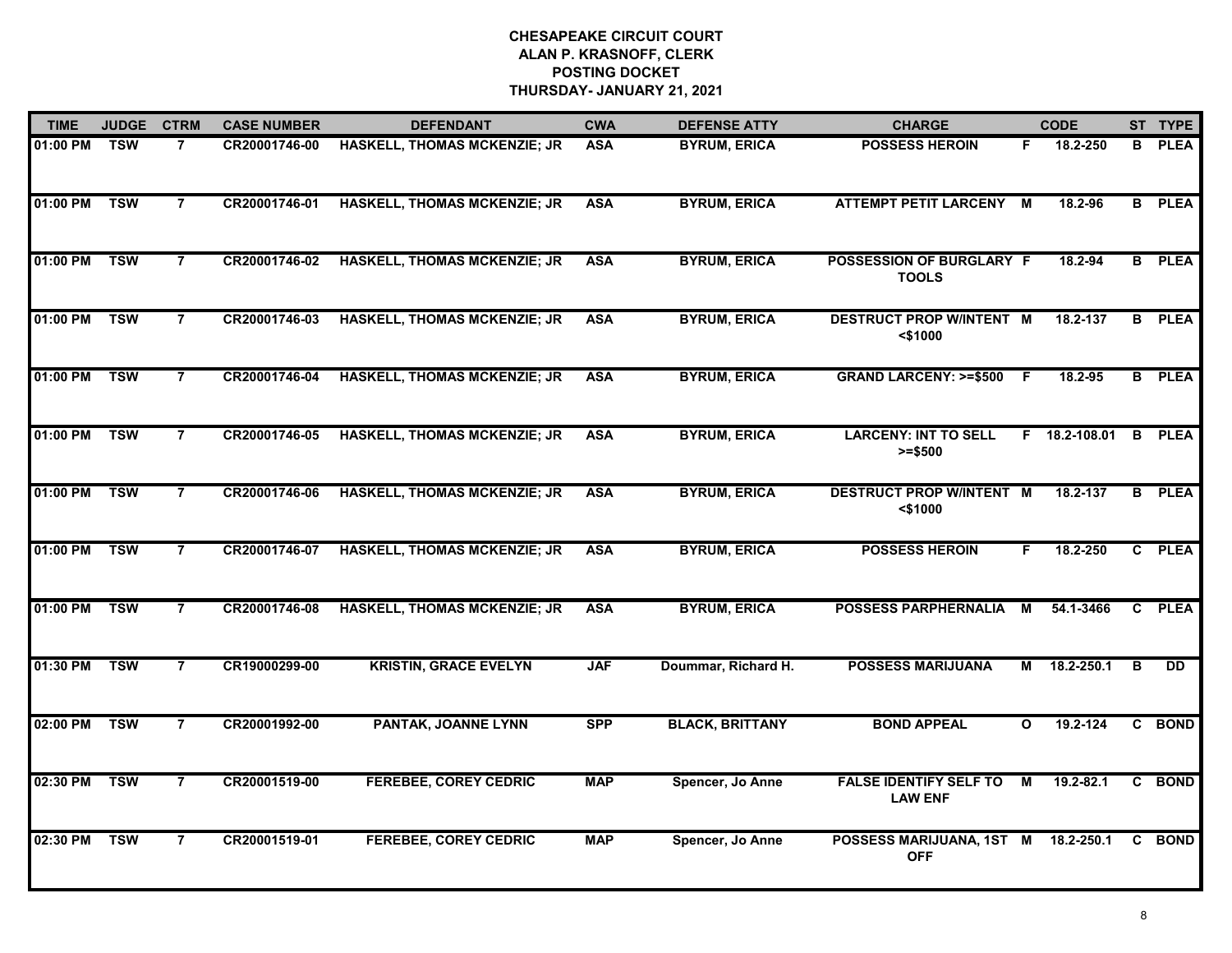| <b>TIME</b>  | <b>JUDGE</b> | <b>CTRM</b>    | <b>CASE NUMBER</b> | <b>DEFENDANT</b>                    | <b>CWA</b> | <b>DEFENSE ATTY</b>    | <b>CHARGE</b>                                     |              | <b>CODE</b>     |                | ST TYPE       |
|--------------|--------------|----------------|--------------------|-------------------------------------|------------|------------------------|---------------------------------------------------|--------------|-----------------|----------------|---------------|
| 01:00 PM     | <b>TSW</b>   | $\overline{7}$ | CR20001746-00      | HASKELL, THOMAS MCKENZIE; JR        | <b>ASA</b> | <b>BYRUM, ERICA</b>    | <b>POSSESS HEROIN</b>                             | F.           | 18.2-250        | В              | <b>PLEA</b>   |
| 01:00 PM     | <b>TSW</b>   | $\overline{7}$ | CR20001746-01      | <b>HASKELL, THOMAS MCKENZIE; JR</b> | <b>ASA</b> | <b>BYRUM, ERICA</b>    | <b>ATTEMPT PETIT LARCENY M</b>                    |              | 18.2-96         |                | <b>B</b> PLEA |
| 01:00 PM     | <b>TSW</b>   | $\overline{7}$ | CR20001746-02      | <b>HASKELL, THOMAS MCKENZIE; JR</b> | <b>ASA</b> | <b>BYRUM, ERICA</b>    | POSSESSION OF BURGLARY F<br><b>TOOLS</b>          |              | 18.2-94         |                | <b>B</b> PLEA |
| 01:00 PM     | <b>TSW</b>   | $\overline{7}$ | CR20001746-03      | <b>HASKELL, THOMAS MCKENZIE; JR</b> | <b>ASA</b> | <b>BYRUM, ERICA</b>    | <b>DESTRUCT PROP W/INTENT M</b><br>$<$ \$1000     |              | 18.2-137        |                | <b>B</b> PLEA |
| 01:00 PM     | <b>TSW</b>   | $\overline{7}$ | CR20001746-04      | <b>HASKELL, THOMAS MCKENZIE; JR</b> | <b>ASA</b> | <b>BYRUM, ERICA</b>    | <b>GRAND LARCENY: &gt;=\$500</b>                  | -F           | 18.2-95         |                | <b>B</b> PLEA |
| 01:00 PM TSW |              | $\overline{7}$ | CR20001746-05      | <b>HASKELL, THOMAS MCKENZIE; JR</b> | <b>ASA</b> | <b>BYRUM, ERICA</b>    | <b>LARCENY: INT TO SELL</b><br>$>= $500$          |              | $F$ 18.2-108.01 | B              | <b>PLEA</b>   |
| 01:00 PM     | <b>TSW</b>   | $\overline{7}$ | CR20001746-06      | <b>HASKELL, THOMAS MCKENZIE; JR</b> | <b>ASA</b> | <b>BYRUM, ERICA</b>    | <b>DESTRUCT PROP W/INTENT M</b><br>$<$ \$1000     |              | 18.2-137        | $\overline{B}$ | <b>PLEA</b>   |
| 01:00 PM     | <b>TSW</b>   | $\overline{7}$ | CR20001746-07      | <b>HASKELL, THOMAS MCKENZIE; JR</b> | <b>ASA</b> | <b>BYRUM, ERICA</b>    | <b>POSSESS HEROIN</b>                             | F.           | 18.2-250        |                | C PLEA        |
| 01:00 PM     | <b>TSW</b>   | 7              | CR20001746-08      | <b>HASKELL, THOMAS MCKENZIE; JR</b> | <b>ASA</b> | <b>BYRUM, ERICA</b>    | POSSESS PARPHERNALIA                              | M            | 54.1-3466       | C.             | <b>PLEA</b>   |
| 01:30 PM     | <b>TSW</b>   | $\overline{7}$ | CR19000299-00      | <b>KRISTIN, GRACE EVELYN</b>        | <b>JAF</b> | Doummar, Richard H.    | <b>POSSESS MARIJUANA</b>                          | М            | 18.2-250.1      | B              | <b>DD</b>     |
| 02:00 PM     | <b>TSW</b>   | $\overline{7}$ | CR20001992-00      | PANTAK, JOANNE LYNN                 | <b>SPP</b> | <b>BLACK, BRITTANY</b> | <b>BOND APPEAL</b>                                | $\mathbf{o}$ | 19.2-124        |                | C BOND        |
| 02:30 PM     | <b>TSW</b>   | $\overline{7}$ | CR20001519-00      | <b>FEREBEE, COREY CEDRIC</b>        | <b>MAP</b> | Spencer, Jo Anne       | <b>FALSE IDENTIFY SELF TO</b><br><b>LAW ENF</b>   | M            | 19.2-82.1       |                | C BOND        |
| 02:30 PM     | <b>TSW</b>   | $\overline{7}$ | CR20001519-01      | <b>FEREBEE, COREY CEDRIC</b>        | <b>MAP</b> | Spencer, Jo Anne       | POSSESS MARIJUANA, 1ST M 18.2-250.1<br><b>OFF</b> |              |                 | C              | <b>BOND</b>   |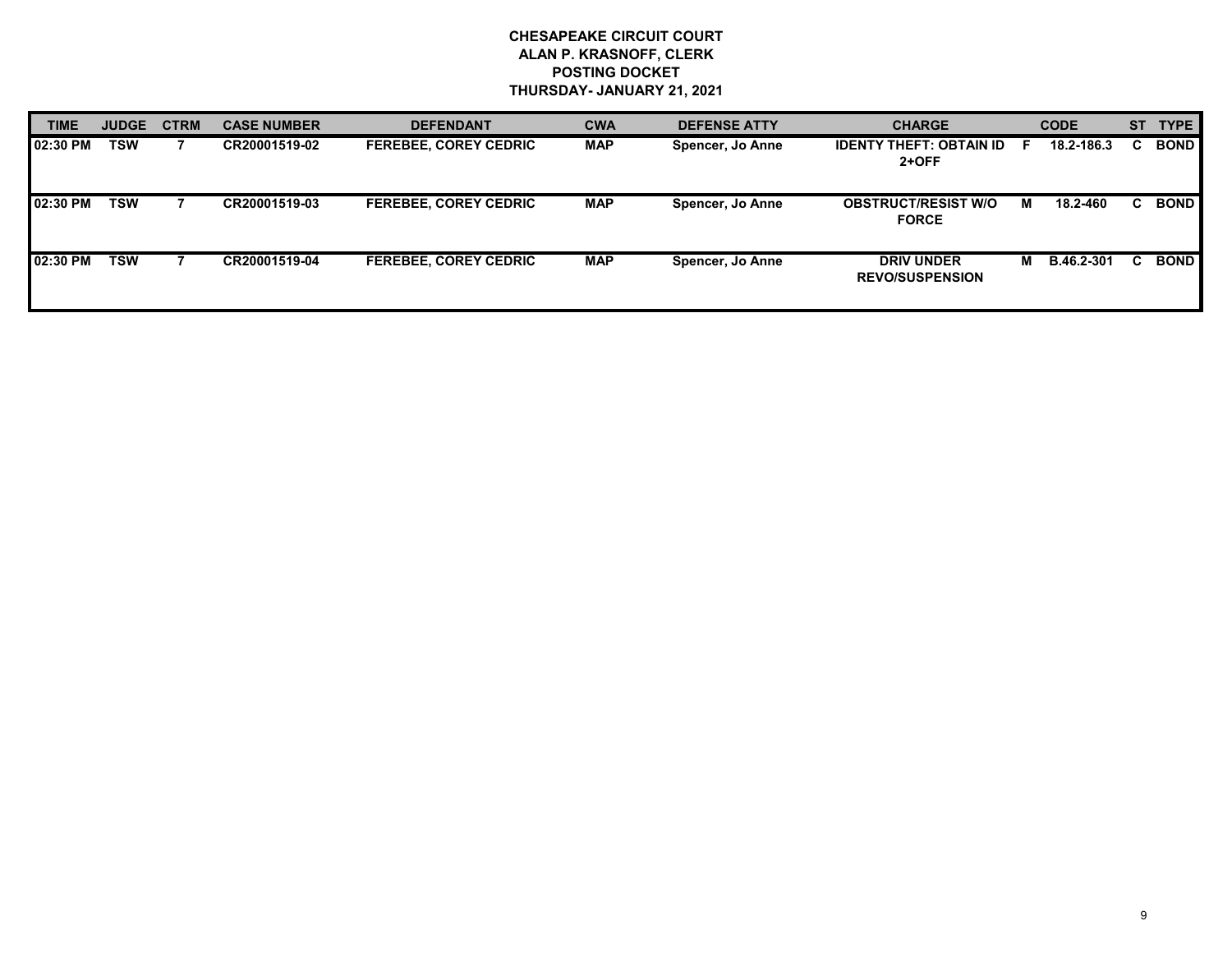| <b>TIME</b> | <b>JUDGE</b> | <b>CTRM</b> | <b>CASE NUMBER</b> | <b>DEFENDANT</b>             | <b>CWA</b> | <b>DEFENSE ATTY</b> | <b>CHARGE</b>                               |   | <b>CODE</b> |    | <b>TYPE</b> |
|-------------|--------------|-------------|--------------------|------------------------------|------------|---------------------|---------------------------------------------|---|-------------|----|-------------|
| 02:30 PM    | TSW          |             | CR20001519-02      | <b>FEREBEE, COREY CEDRIC</b> | <b>MAP</b> | Spencer, Jo Anne    | <b>IDENTY THEFT: OBTAIN ID</b><br>$2+OFF$   |   | 18.2-186.3  | C. | <b>BOND</b> |
| 02:30 PM    | TSW          |             | CR20001519-03      | <b>FEREBEE, COREY CEDRIC</b> | <b>MAP</b> | Spencer, Jo Anne    | <b>OBSTRUCT/RESIST W/O</b><br><b>FORCE</b>  | м | 18.2-460    | C. | <b>BOND</b> |
| 02:30 PM    | <b>TSW</b>   |             | CR20001519-04      | <b>FEREBEE, COREY CEDRIC</b> | <b>MAP</b> | Spencer, Jo Anne    | <b>DRIV UNDER</b><br><b>REVO/SUSPENSION</b> | м | B.46.2-301  |    | <b>BOND</b> |